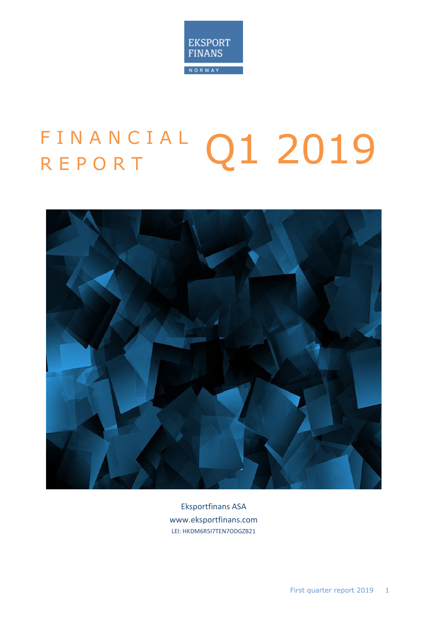

# FINANCIAL Q1 2019



Eksportfinans ASA www.eksportfinans.com LEI: HKDM6R5I7TEN7ODGZB21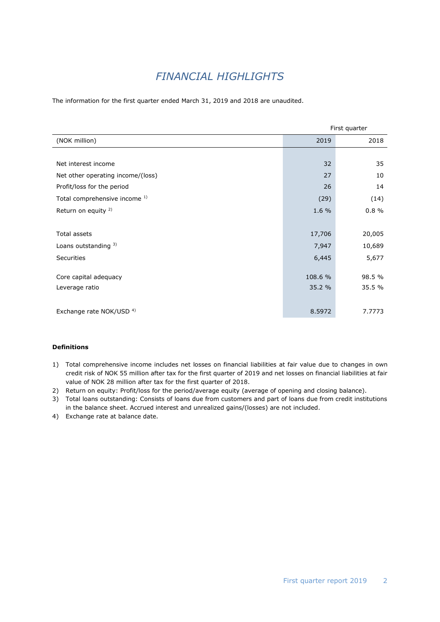# *FINANCIAL HIGHLIGHTS*

The information for the first quarter ended March 31, 2019 and 2018 are unaudited.

|                                          | First quarter |        |  |
|------------------------------------------|---------------|--------|--|
| (NOK million)                            | 2019          | 2018   |  |
|                                          |               |        |  |
| Net interest income                      | 32            | 35     |  |
| Net other operating income/(loss)        | 27            | 10     |  |
| Profit/loss for the period               | 26            | 14     |  |
| Total comprehensive income <sup>1)</sup> | (29)          | (14)   |  |
| Return on equity <sup>2)</sup>           | 1.6 %         | 0.8%   |  |
|                                          |               |        |  |
| <b>Total assets</b>                      | 17,706        | 20,005 |  |
| Loans outstanding 3)                     | 7,947         | 10,689 |  |
| <b>Securities</b>                        | 6,445         | 5,677  |  |
|                                          |               |        |  |
| Core capital adequacy                    | 108.6 %       | 98.5 % |  |
| Leverage ratio                           | 35.2 %        | 35.5 % |  |
|                                          |               |        |  |
| Exchange rate NOK/USD <sup>4)</sup>      | 8.5972        | 7.7773 |  |

#### **Definitions**

- 1) Total comprehensive income includes net losses on financial liabilities at fair value due to changes in own credit risk of NOK 55 million after tax for the first quarter of 2019 and net losses on financial liabilities at fair value of NOK 28 million after tax for the first quarter of 2018.
- 2) Return on equity: Profit/loss for the period/average equity (average of opening and closing balance).
- 3) Total loans outstanding: Consists of loans due from customers and part of loans due from credit institutions in the balance sheet. Accrued interest and unrealized gains/(losses) are not included.
- 4) Exchange rate at balance date.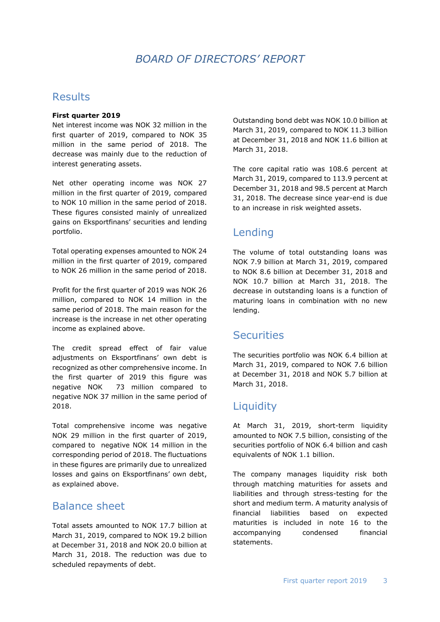## *BOARD OF DIRECTORS' REPORT*

#### **Results**

#### **First quarter 2019**

Net interest income was NOK 32 million in the first quarter of 2019, compared to NOK 35 million in the same period of 2018. The decrease was mainly due to the reduction of interest generating assets.

Net other operating income was NOK 27 million in the first quarter of 2019, compared to NOK 10 million in the same period of 2018. These figures consisted mainly of unrealized gains on Eksportfinans' securities and lending portfolio.

Total operating expenses amounted to NOK 24 million in the first quarter of 2019, compared to NOK 26 million in the same period of 2018.

Profit for the first quarter of 2019 was NOK 26 million, compared to NOK 14 million in the same period of 2018. The main reason for the increase is the increase in net other operating income as explained above.

The credit spread effect of fair value adjustments on Eksportfinans' own debt is recognized as other comprehensive income. In the first quarter of 2019 this figure was negative NOK 73 million compared to negative NOK 37 million in the same period of 2018.

Total comprehensive income was negative NOK 29 million in the first quarter of 2019, compared to negative NOK 14 million in the corresponding period of 2018. The fluctuations in these figures are primarily due to unrealized losses and gains on Eksportfinans' own debt, as explained above.

#### Balance sheet

Total assets amounted to NOK 17.7 billion at March 31, 2019, compared to NOK 19.2 billion at December 31, 2018 and NOK 20.0 billion at March 31, 2018. The reduction was due to scheduled repayments of debt.

Outstanding bond debt was NOK 10.0 billion at March 31, 2019, compared to NOK 11.3 billion at December 31, 2018 and NOK 11.6 billion at March 31, 2018.

The core capital ratio was 108.6 percent at March 31, 2019, compared to 113.9 percent at December 31, 2018 and 98.5 percent at March 31, 2018. The decrease since year-end is due to an increase in risk weighted assets.

## Lending

The volume of total outstanding loans was NOK 7.9 billion at March 31, 2019, compared to NOK 8.6 billion at December 31, 2018 and NOK 10.7 billion at March 31, 2018. The decrease in outstanding loans is a function of maturing loans in combination with no new lending.

#### **Securities**

The securities portfolio was NOK 6.4 billion at March 31, 2019, compared to NOK 7.6 billion at December 31, 2018 and NOK 5.7 billion at March 31, 2018.

## **Liquidity**

At March 31, 2019, short-term liquidity amounted to NOK 7.5 billion, consisting of the securities portfolio of NOK 6.4 billion and cash equivalents of NOK 1.1 billion.

The company manages liquidity risk both through matching maturities for assets and liabilities and through stress-testing for the short and medium term. A maturity analysis of financial liabilities based on expected maturities is included in note 16 to the accompanying condensed financial statements.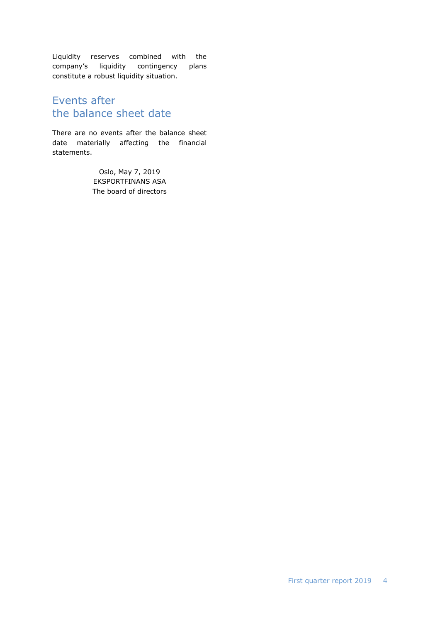Liquidity reserves combined with the company's liquidity contingency plans constitute a robust liquidity situation.

### Events after the balance sheet date

There are no events after the balance sheet date materially affecting the financial statements.

> Oslo, May 7, 2019 EKSPORTFINANS ASA The board of directors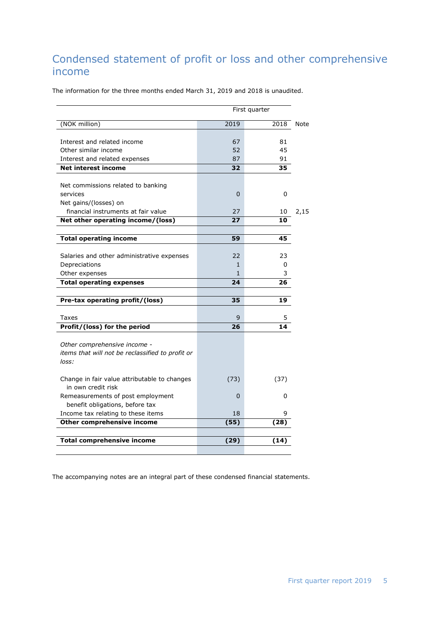## Condensed statement of profit or loss and other comprehensive income

The information for the three months ended March 31, 2019 and 2018 is unaudited.

|                                                                      |          | First quarter |
|----------------------------------------------------------------------|----------|---------------|
| (NOK million)                                                        | 2019     | 2018          |
| Interest and related income                                          | 67       | 81            |
| Other similar income                                                 | 52       | 45            |
| Interest and related expenses                                        | 87       | 91            |
| <b>Net interest income</b>                                           | 32       | 35            |
| Net commissions related to banking                                   |          |               |
| services                                                             | $\Omega$ | 0             |
| Net gains/(losses) on                                                |          |               |
| financial instruments at fair value                                  | 27       | 10            |
| Net other operating income/(loss)                                    | 27       | 10            |
|                                                                      |          |               |
| <b>Total operating income</b>                                        | 59       | 45            |
|                                                                      |          |               |
| Salaries and other administrative expenses                           | 22       | 23            |
| Depreciations                                                        | 1        | 0             |
| Other expenses                                                       | 1        | 3             |
| <b>Total operating expenses</b>                                      | 24       | 26            |
| Pre-tax operating profit/(loss)                                      | 35       | 19            |
|                                                                      |          |               |
| Taxes                                                                | 9        | 5             |
| Profit/(loss) for the period                                         | 26       | 14            |
| Other comprehensive income -                                         |          |               |
| items that will not be reclassified to profit or                     |          |               |
| loss:                                                                |          |               |
| Change in fair value attributable to changes                         | (73)     | (37)          |
| in own credit risk                                                   |          |               |
| Remeasurements of post employment<br>benefit obligations, before tax | $\Omega$ | 0             |
| Income tax relating to these items                                   | 18       | 9             |
| Other comprehensive income                                           |          | (28)          |
|                                                                      |          |               |
| <b>Total comprehensive income</b>                                    | (29)     | (14)          |
|                                                                      |          |               |
|                                                                      | (55)     |               |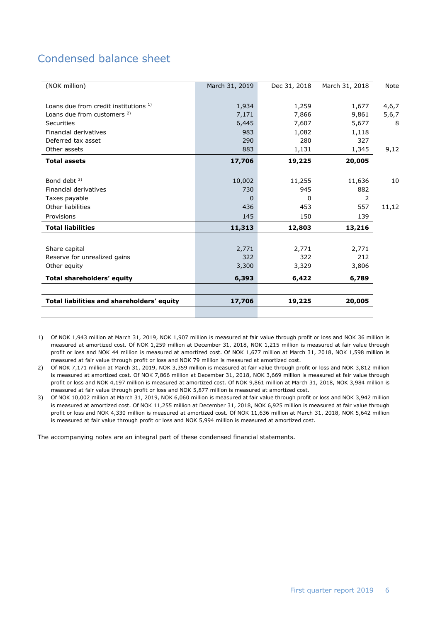# Condensed balance sheet

| (NOK million)                              | March 31, 2019 | Dec 31, 2018 | March 31, 2018 | Note  |
|--------------------------------------------|----------------|--------------|----------------|-------|
|                                            |                |              |                |       |
| Loans due from credit institutions 1)      | 1,934          | 1,259        | 1,677          | 4,6,7 |
| Loans due from customers <sup>2)</sup>     | 7,171          | 7,866        | 9,861          | 5,6,7 |
| Securities                                 | 6,445          | 7,607        | 5,677          | 8     |
| Financial derivatives                      | 983            | 1,082        | 1,118          |       |
| Deferred tax asset                         | 290            | 280          | 327            |       |
| Other assets                               | 883            | 1,131        | 1,345          | 9,12  |
| <b>Total assets</b>                        | 17,706         | 19,225       | 20,005         |       |
|                                            |                |              |                |       |
| Bond debt <sup>3)</sup>                    | 10,002         | 11,255       | 11,636         | 10    |
| Financial derivatives                      | 730            | 945          | 882            |       |
| Taxes payable                              | $\Omega$       | <sup>0</sup> | 2              |       |
| Other liabilities                          | 436            | 453          | 557            | 11,12 |
| Provisions                                 | 145            | 150          | 139            |       |
| <b>Total liabilities</b>                   | 11,313         | 12,803       | 13,216         |       |
|                                            |                |              |                |       |
| Share capital                              | 2,771          | 2,771        | 2,771          |       |
| Reserve for unrealized gains               | 322            | 322          | 212            |       |
| Other equity                               | 3,300          | 3,329        | 3,806          |       |
| <b>Total shareholders' equity</b>          | 6,393          | 6,422        | 6,789          |       |
|                                            |                |              |                |       |
| Total liabilities and shareholders' equity | 17,706         | 19,225       | 20,005         |       |
|                                            |                |              |                |       |

1) Of NOK 1,943 million at March 31, 2019, NOK 1,907 million is measured at fair value through profit or loss and NOK 36 million is measured at amortized cost. Of NOK 1,259 million at December 31, 2018, NOK 1,215 million is measured at fair value through profit or loss and NOK 44 million is measured at amortized cost. Of NOK 1,677 million at March 31, 2018, NOK 1,598 million is measured at fair value through profit or loss and NOK 79 million is measured at amortized cost.

2) Of NOK 7,171 million at March 31, 2019, NOK 3,359 million is measured at fair value through profit or loss and NOK 3,812 million is measured at amortized cost. Of NOK 7,866 million at December 31, 2018, NOK 3,669 million is measured at fair value through profit or loss and NOK 4,197 million is measured at amortized cost. Of NOK 9,861 million at March 31, 2018, NOK 3,984 million is measured at fair value through profit or loss and NOK 5,877 million is measured at amortized cost.

3) Of NOK 10,002 million at March 31, 2019, NOK 6,060 million is measured at fair value through profit or loss and NOK 3,942 million is measured at amortized cost. Of NOK 11,255 million at December 31, 2018, NOK 6,925 million is measured at fair value through profit or loss and NOK 4,330 million is measured at amortized cost. Of NOK 11,636 million at March 31, 2018, NOK 5,642 million is measured at fair value through profit or loss and NOK 5,994 million is measured at amortized cost.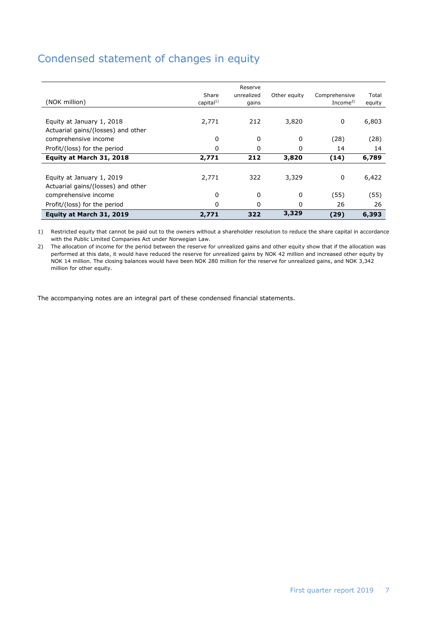## Condensed statement of changes in equity

| (NOK million)                                                   | capital $1)$ | gains |       | Income <sup>2)</sup> | equity |
|-----------------------------------------------------------------|--------------|-------|-------|----------------------|--------|
| Equity at January 1, 2018<br>Actuarial gains/(losses) and other | 2,771        | 212   | 3,820 | 0                    | 6,803  |
| comprehensive income                                            | 0            | 0     | 0     | (28)                 | (28)   |
| Profit/(loss) for the period                                    | 0            | 0     | 0     | 14                   | 14     |
| Equity at March 31, 2018                                        | 2,771        | 212   | 3,820 | (14)                 | 6,789  |
| Equity at January 1, 2019<br>Actuarial gains/(losses) and other | 2,771        | 322   | 3,329 | 0                    | 6,422  |
| comprehensive income                                            | 0            | 0     | 0     | (55)                 | (55)   |
| Profit/(loss) for the period                                    | 0            | 0     | 0     | 26                   | 26     |
| Equity at March 31, 2019                                        | 2,771        | 322   | 3,329 | (29)                 | 6,393  |

1) Restricted equity that cannot be paid out to the owners without a shareholder resolution to reduce the share capital in accordance with the Public Limited Companies Act under Norwegian Law.

2) The allocation of income for the period between the reserve for unrealized gains and other equity show that if the allocation was performed at this date, it would have reduced the reserve for unrealized gains by NOK 42 million and increased other equity by NOK 14 million. The closing balances would have been NOK 280 million for the reserve for unrealized gains, and NOK 3,342 million for other equity.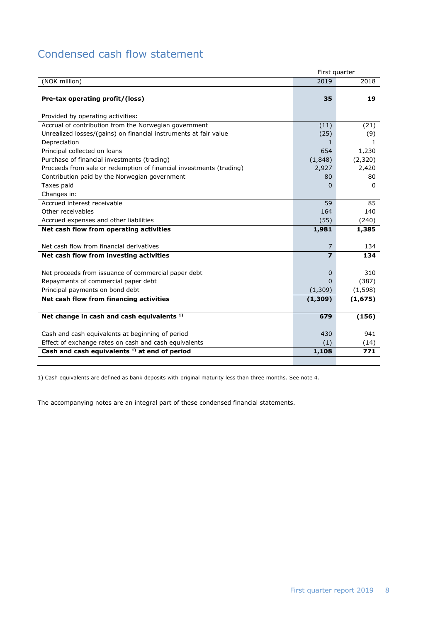# Condensed cash flow statement

|                                                                     | First quarter  |          |
|---------------------------------------------------------------------|----------------|----------|
| (NOK million)                                                       | 2019           | 2018     |
| Pre-tax operating profit/(loss)                                     | 35             | 19       |
| Provided by operating activities:                                   |                |          |
| Accrual of contribution from the Norwegian government               | (11)           | (21)     |
| Unrealized losses/(gains) on financial instruments at fair value    | (25)           | (9)      |
| Depreciation                                                        | $\mathbf{1}$   | 1        |
| Principal collected on loans                                        | 654            | 1,230    |
| Purchase of financial investments (trading)                         | (1,848)        | (2,320)  |
| Proceeds from sale or redemption of financial investments (trading) | 2,927          | 2,420    |
| Contribution paid by the Norwegian government                       | 80             | 80       |
| Taxes paid                                                          | $\Omega$       | $\Omega$ |
| Changes in:                                                         |                |          |
| Accrued interest receivable                                         | 59             | 85       |
| Other receivables                                                   | 164            | 140      |
| Accrued expenses and other liabilities                              | (55)           | (240)    |
| Net cash flow from operating activities                             | 1,981          | 1,385    |
|                                                                     |                |          |
| Net cash flow from financial derivatives                            | 7              | 134      |
| Net cash flow from investing activities                             | $\overline{z}$ | 134      |
| Net proceeds from issuance of commercial paper debt                 | $\Omega$       | 310      |
| Repayments of commercial paper debt                                 | U              | (387)    |
| Principal payments on bond debt                                     | (1,309)        | (1, 598) |
| Net cash flow from financing activities                             | (1,309)        | (1, 675) |
|                                                                     |                |          |
| Net change in cash and cash equivalents <sup>1)</sup>               | 679            | (156)    |
|                                                                     |                |          |
| Cash and cash equivalents at beginning of period                    | 430            | 941      |
| Effect of exchange rates on cash and cash equivalents               | (1)            | (14)     |
| Cash and cash equivalents <sup>1)</sup> at end of period            | 1,108          | 771      |
|                                                                     |                |          |

1) Cash equivalents are defined as bank deposits with original maturity less than three months. See note 4.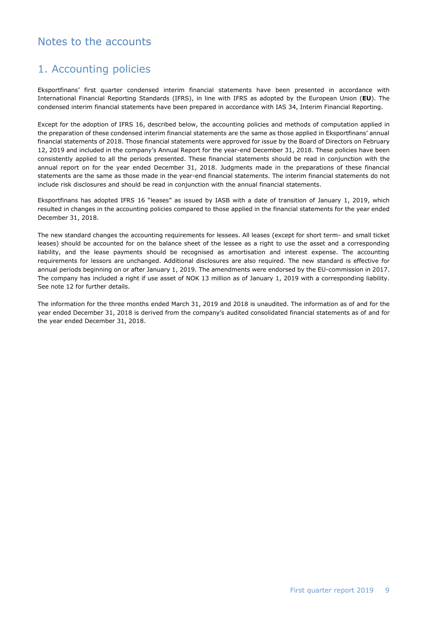## Notes to the accounts

## 1. Accounting policies

Eksportfinans' first quarter condensed interim financial statements have been presented in accordance with International Financial Reporting Standards (IFRS), in line with IFRS as adopted by the European Union (**EU**). The condensed interim financial statements have been prepared in accordance with IAS 34, Interim Financial Reporting.

Except for the adoption of IFRS 16, described below, the accounting policies and methods of computation applied in the preparation of these condensed interim financial statements are the same as those applied in Eksportfinans' annual financial statements of 2018. Those financial statements were approved for issue by the Board of Directors on February 12, 2019 and included in the company's Annual Report for the year-end December 31, 2018. These policies have been consistently applied to all the periods presented. These financial statements should be read in conjunction with the annual report on for the year ended December 31, 2018. Judgments made in the preparations of these financial statements are the same as those made in the year-end financial statements. The interim financial statements do not include risk disclosures and should be read in conjunction with the annual financial statements.

Eksportfinans has adopted IFRS 16 "leases" as issued by IASB with a date of transition of January 1, 2019, which resulted in changes in the accounting policies compared to those applied in the financial statements for the year ended December 31, 2018.

The new standard changes the accounting requirements for lessees. All leases (except for short term- and small ticket leases) should be accounted for on the balance sheet of the lessee as a right to use the asset and a corresponding liability, and the lease payments should be recognised as amortisation and interest expense. The accounting requirements for lessors are unchanged. Additional disclosures are also required. The new standard is effective for annual periods beginning on or after January 1, 2019. The amendments were endorsed by the EU-commission in 2017. The company has included a right if use asset of NOK 13 million as of January 1, 2019 with a corresponding liability. See note 12 for further details.

The information for the three months ended March 31, 2019 and 2018 is unaudited. The information as of and for the year ended December 31, 2018 is derived from the company's audited consolidated financial statements as of and for the year ended December 31, 2018.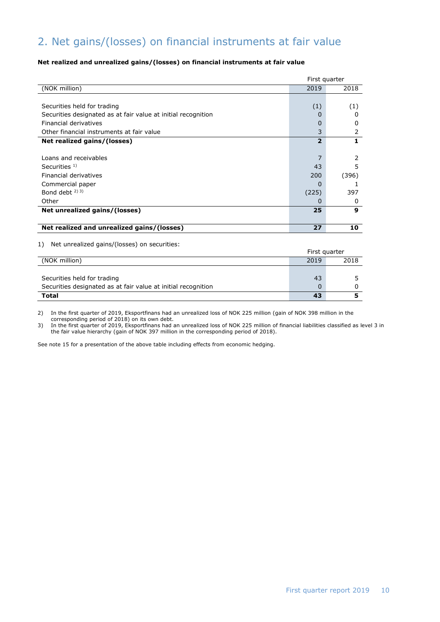# 2. Net gains/(losses) on financial instruments at fair value

#### **Net realized and unrealized gains/(losses) on financial instruments at fair value**

|                                                               | First quarter  |       |
|---------------------------------------------------------------|----------------|-------|
| (NOK million)                                                 | 2019           | 2018  |
|                                                               |                |       |
| Securities held for trading                                   | (1)            | (1)   |
| Securities designated as at fair value at initial recognition | $\mathbf{I}$   | O     |
| Financial derivatives                                         | 0              | O     |
| Other financial instruments at fair value                     | 3              | 2     |
| Net realized gains/(losses)                                   | $\overline{2}$ | 1.    |
|                                                               |                |       |
| Loans and receivables                                         |                | 2     |
| Securities $1$ )                                              | 43             | 5     |
| Financial derivatives                                         | 200            | (396) |
| Commercial paper                                              | O              |       |
| Bond debt $^{2}$ ) 3)                                         | (225)          | 397   |
| Other                                                         | O              | 0     |
| Net unrealized gains/(losses)                                 | 25             | 9     |
|                                                               |                |       |
| Net realized and unrealized gains/(losses)                    | 27             | 10    |
|                                                               |                |       |

#### 1) Net unrealized gains/(losses) on securities:

| <b>I</b> , including called gains, (1033c3) on securities.    |               |      |  |
|---------------------------------------------------------------|---------------|------|--|
|                                                               | First quarter |      |  |
| (NOK million)                                                 | 2019          | 2018 |  |
|                                                               |               |      |  |
| Securities held for trading                                   | 43            |      |  |
| Securities designated as at fair value at initial recognition |               |      |  |
| Total                                                         | 43            |      |  |

2) In the first quarter of 2019, Eksportfinans had an unrealized loss of NOK 225 million (gain of NOK 398 million in the corresponding period of 2018) on its own debt.

3) In the first quarter of 2019, Eksportfinans had an unrealized loss of NOK 225 million of financial liabilities classified as level 3 in the fair value hierarchy (gain of NOK 397 million in the corresponding period of 2018).

See note 15 for a presentation of the above table including effects from economic hedging.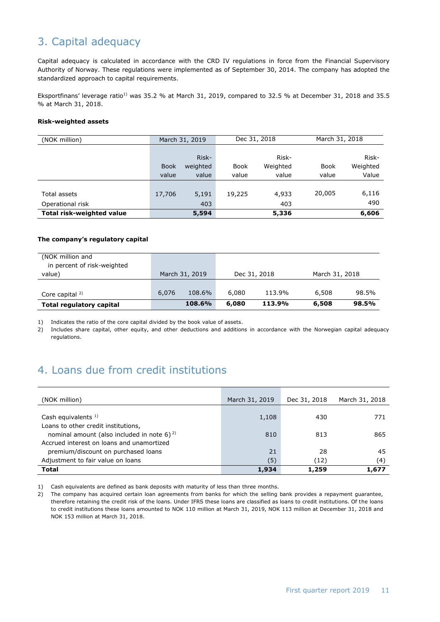# 3. Capital adequacy

Capital adequacy is calculated in accordance with the CRD IV regulations in force from the Financial Supervisory Authority of Norway. These regulations were implemented as of September 30, 2014. The company has adopted the standardized approach to capital requirements.

Eksportfinans' leverage ratio<sup>1)</sup> was 35.2 % at March 31, 2019, compared to 32.5 % at December 31, 2018 and 35.5 % at March 31, 2018.

#### **Risk-weighted assets**

| (NOK million)                    |             | March 31, 2019 | Dec 31, 2018 |          | March 31, 2018 |          |
|----------------------------------|-------------|----------------|--------------|----------|----------------|----------|
|                                  |             |                |              |          |                |          |
|                                  |             | Risk-          |              | Risk-    |                | Risk-    |
|                                  | <b>Book</b> | weighted       | <b>Book</b>  | Weighted | <b>Book</b>    | Weighted |
|                                  | value       | value          | value        | value    | value          | Value    |
|                                  |             |                |              |          |                |          |
| Total assets                     | 17,706      | 5,191          | 19,225       | 4.933    | 20,005         | 6,116    |
| Operational risk                 |             | 403            |              | 403      |                | 490      |
| <b>Total risk-weighted value</b> |             | 5,594          |              | 5,336    |                | 6,606    |

#### **The company's regulatory capital**

| (NOK million and<br>in percent of risk-weighted |       |                |       |              |                |       |
|-------------------------------------------------|-------|----------------|-------|--------------|----------------|-------|
| value)                                          |       | March 31, 2019 |       | Dec 31, 2018 | March 31, 2018 |       |
|                                                 |       |                |       |              |                |       |
| Core capital $2$                                | 6,076 | 108.6%         | 6,080 | 113.9%       | 6,508          | 98.5% |
| <b>Total regulatory capital</b>                 |       | 108.6%         | 6,080 | 113.9%       | 6,508          | 98.5% |

1) Indicates the ratio of the core capital divided by the book value of assets.

2) Includes share capital, other equity, and other deductions and additions in accordance with the Norwegian capital adequacy regulations.

## 4. Loans due from credit institutions

| (NOK million)                                                                            | March 31, 2019 | Dec 31, 2018 | March 31, 2018 |
|------------------------------------------------------------------------------------------|----------------|--------------|----------------|
| Cash equivalents $1$ )                                                                   | 1,108          | 430          | 771            |
| Loans to other credit institutions,<br>nominal amount (also included in note 6) $^{2}$ ) | 810            | 813          | 865            |
| Accrued interest on loans and unamortized<br>premium/discount on purchased loans         | 21             | 28           | 45             |
| Adjustment to fair value on loans                                                        | (5)            | (12)         | (4)            |
| <b>Total</b>                                                                             | 1,934          | 1,259        | 1,677          |

1) Cash equivalents are defined as bank deposits with maturity of less than three months.

2) The company has acquired certain loan agreements from banks for which the selling bank provides a repayment guarantee, therefore retaining the credit risk of the loans. Under IFRS these loans are classified as loans to credit institutions. Of the loans to credit institutions these loans amounted to NOK 110 million at March 31, 2019, NOK 113 million at December 31, 2018 and NOK 153 million at March 31, 2018.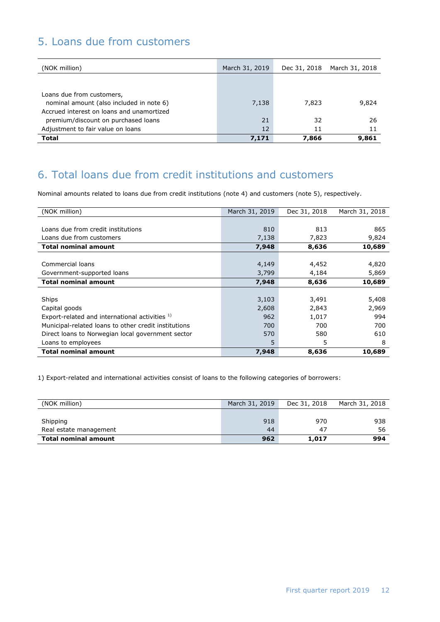## 5. Loans due from customers

| (NOK million)                                                                                                      | March 31, 2019 | Dec 31, 2018 | March 31, 2018 |
|--------------------------------------------------------------------------------------------------------------------|----------------|--------------|----------------|
|                                                                                                                    |                |              |                |
| Loans due from customers,<br>nominal amount (also included in note 6)<br>Accrued interest on loans and unamortized | 7,138          | 7,823        | 9,824          |
| premium/discount on purchased loans<br>Adjustment to fair value on loans                                           | 21<br>12       | 32<br>11     | 26<br>11       |
| <b>Total</b>                                                                                                       | 7.171          | 7,866        | 9,861          |

## 6. Total loans due from credit institutions and customers

Nominal amounts related to loans due from credit institutions (note 4) and customers (note 5), respectively.

| (NOK million)                                        | March 31, 2019 | Dec 31, 2018 | March 31, 2018 |
|------------------------------------------------------|----------------|--------------|----------------|
|                                                      |                |              |                |
| Loans due from credit institutions                   | 810            | 813          | 865            |
| Loans due from customers                             | 7,138          | 7,823        | 9,824          |
| <b>Total nominal amount</b>                          | 7,948          | 8,636        | 10,689         |
|                                                      |                |              |                |
| Commercial loans                                     | 4,149          | 4,452        | 4,820          |
| Government-supported loans                           | 3,799          | 4,184        | 5,869          |
| <b>Total nominal amount</b>                          | 7,948          | 8,636        | 10,689         |
|                                                      |                |              |                |
| Ships                                                | 3,103          | 3,491        | 5,408          |
| Capital goods                                        | 2,608          | 2,843        | 2,969          |
| Export-related and international activities 1)       | 962            | 1,017        | 994            |
| Municipal-related loans to other credit institutions | 700            | 700          | 700            |
| Direct loans to Norwegian local government sector    | 570            | 580          | 610            |
| Loans to employees                                   | 5              | 5            | 8              |
| <b>Total nominal amount</b>                          | 7,948          | 8,636        | 10,689         |

1) Export-related and international activities consist of loans to the following categories of borrowers:

| (NOK million)               | March 31, 2019 | Dec 31, 2018 | March 31, 2018 |
|-----------------------------|----------------|--------------|----------------|
|                             |                |              |                |
| Shipping                    | 918            | 970          | 938            |
| Real estate management      | 44             | -47          | 56             |
| <b>Total nominal amount</b> | 962            | 1,017        | 994            |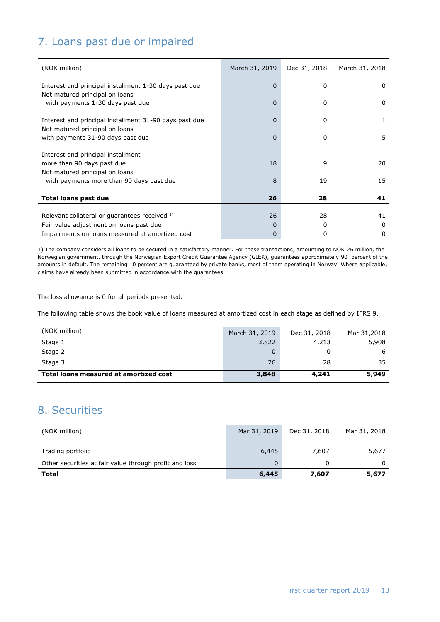# 7. Loans past due or impaired

| (NOK million)                                          | March 31, 2019 | Dec 31, 2018 | March 31, 2018 |
|--------------------------------------------------------|----------------|--------------|----------------|
|                                                        |                |              |                |
| Interest and principal installment 1-30 days past due  | $\Omega$       | $\Omega$     | $\Omega$       |
| Not matured principal on loans                         |                |              |                |
| with payments 1-30 days past due                       | $\Omega$       | 0            | 0              |
| Interest and principal installment 31-90 days past due | 0              | 0            | 1              |
| Not matured principal on loans                         |                |              |                |
| with payments 31-90 days past due                      | 0              | $\Omega$     | 5              |
|                                                        |                |              |                |
| Interest and principal installment                     |                |              |                |
| more than 90 days past due                             | 18             | 9            | 20             |
| Not matured principal on loans                         |                |              |                |
| with payments more than 90 days past due               | 8              | 19           | 15             |
|                                                        |                |              |                |
| Total loans past due                                   | 26             | 28           | 41             |
|                                                        |                |              |                |
| Relevant collateral or guarantees received 1)          | 26             | 28           | 41             |
| Fair value adjustment on loans past due                | 0              | 0            | 0              |
| Impairments on loans measured at amortized cost        | $\overline{0}$ | $\mathbf 0$  | $\Omega$       |

1) The company considers all loans to be secured in a satisfactory manner. For these transactions, amounting to NOK 26 million, the Norwegian government, through the Norwegian Export Credit Guarantee Agency (GIEK), guarantees approximately 90 percent of the amounts in default. The remaining 10 percent are guaranteed by private banks, most of them operating in Norway. Where applicable, claims have already been submitted in accordance with the guarantees.

The loss allowance is 0 for all periods presented.

The following table shows the book value of loans measured at amortized cost in each stage as defined by IFRS 9.

| (NOK million)                          | March 31, 2019 | Dec 31, 2018 | Mar 31,2018 |
|----------------------------------------|----------------|--------------|-------------|
| Stage 1                                | 3,822          | 4,213        | 5,908       |
| Stage 2                                | 0              |              | ь           |
| Stage 3                                | 26             | 28           | 35          |
| Total loans measured at amortized cost | 3,848          | 4,241        | 5,949       |

## 8. Securities

| (NOK million)                                          | Mar 31, 2019 | Dec 31, 2018 | Mar 31, 2018 |
|--------------------------------------------------------|--------------|--------------|--------------|
|                                                        |              |              |              |
| Trading portfolio                                      | 6,445        | 7,607        | 5,677        |
| Other securities at fair value through profit and loss | $\Omega$     |              |              |
| Total                                                  | 6,445        | 7,607        | 5,677        |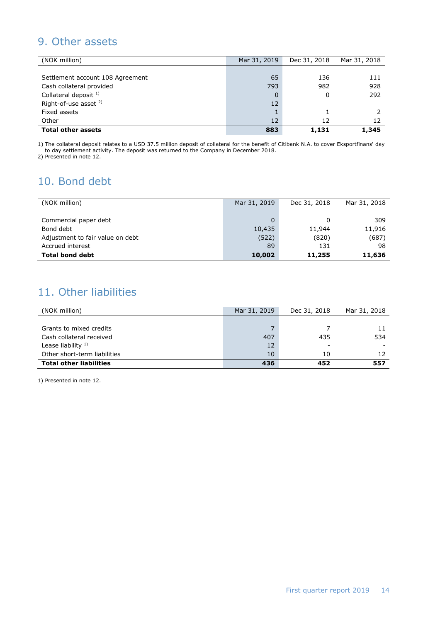## 9. Other assets

| (NOK million)                    | Mar 31, 2019 | Dec 31, 2018 | Mar 31, 2018 |
|----------------------------------|--------------|--------------|--------------|
|                                  |              |              |              |
| Settlement account 108 Agreement | 65           | 136          | 111          |
| Cash collateral provided         | 793          | 982          | 928          |
| Collateral deposit <sup>1)</sup> |              | 0            | 292          |
| Right-of-use asset <sup>2)</sup> | 12           |              |              |
| Fixed assets                     |              |              |              |
| Other                            | 12           | 12           | 12           |
| <b>Total other assets</b>        | 883          | 1,131        | 1,345        |

1) The collateral deposit relates to a USD 37.5 million deposit of collateral for the benefit of Citibank N.A. to cover Eksportfinans' day to day settlement activity. The deposit was returned to the Company in December 2018.

2) Presented in note 12.

# 10. Bond debt

| (NOK million)                    | Mar 31, 2019 | Dec 31, 2018 | Mar 31, 2018 |
|----------------------------------|--------------|--------------|--------------|
|                                  |              |              |              |
| Commercial paper debt            | 0            | 0            | 309          |
| Bond debt                        | 10,435       | 11,944       | 11,916       |
| Adjustment to fair value on debt | (522)        | (820)        | (687)        |
| Accrued interest                 | 89           | 131          | 98           |
| <b>Total bond debt</b>           | 10,002       | 11,255       | 11,636       |

# 11. Other liabilities

| (NOK million)                  | Mar 31, 2019 | Dec 31, 2018 | Mar 31, 2018 |
|--------------------------------|--------------|--------------|--------------|
|                                |              |              |              |
| Grants to mixed credits        |              |              |              |
| Cash collateral received       | 407          | 435          | 534          |
| Lease liability $1$ )          | 12           |              |              |
| Other short-term liabilities   | 10           | 10           |              |
| <b>Total other liabilities</b> | 436          | 452          | 557          |

1) Presented in note 12.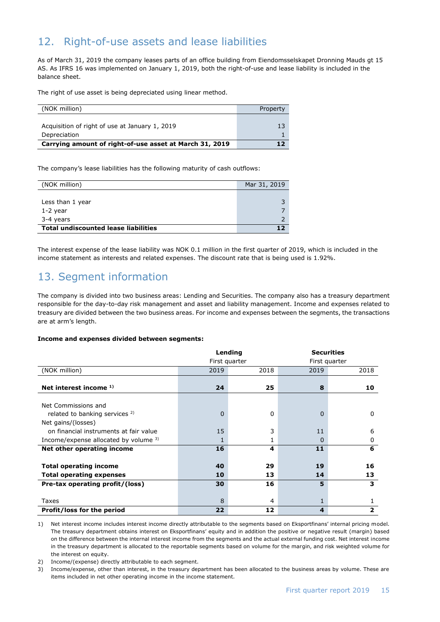# 12. Right-of-use assets and lease liabilities

As of March 31, 2019 the company leases parts of an office building from Eiendomsselskapet Dronning Mauds gt 15 AS. As IFRS 16 was implemented on January 1, 2019, both the right-of-use and lease liability is included in the balance sheet.

The right of use asset is being depreciated using linear method.

| (NOK million)                                           | Property |
|---------------------------------------------------------|----------|
|                                                         |          |
| Acquisition of right of use at January 1, 2019          | 13       |
| Depreciation                                            |          |
| Carrying amount of right-of-use asset at March 31, 2019 |          |

The company's lease liabilities has the following maturity of cash outflows:

| (NOK million)                               | Mar 31, 2019 |
|---------------------------------------------|--------------|
|                                             |              |
| Less than 1 year                            |              |
| 1-2 year                                    |              |
| 3-4 years                                   |              |
| <b>Total undiscounted lease liabilities</b> |              |

The interest expense of the lease liability was NOK 0.1 million in the first quarter of 2019, which is included in the income statement as interests and related expenses. The discount rate that is being used is 1.92%.

## 13. Segment information

The company is divided into two business areas: Lending and Securities. The company also has a treasury department responsible for the day-to-day risk management and asset and liability management. Income and expenses related to treasury are divided between the two business areas. For income and expenses between the segments, the transactions are at arm's length.

#### **Income and expenses divided between segments:**

|                                           |      | Lending       | <b>Securities</b> |                         |  |
|-------------------------------------------|------|---------------|-------------------|-------------------------|--|
|                                           |      | First quarter |                   | First quarter           |  |
| (NOK million)                             | 2019 | 2018          | 2019              | 2018                    |  |
|                                           |      |               |                   |                         |  |
| Net interest income $1$ )                 | 24   | 25            | 8                 | 10                      |  |
|                                           |      |               |                   |                         |  |
| Net Commissions and                       |      |               |                   |                         |  |
| related to banking services <sup>2)</sup> | 0    | 0             | 0                 | 0                       |  |
| Net gains/(losses)                        |      |               |                   |                         |  |
| on financial instruments at fair value    | 15   | 3             | 11                | 6                       |  |
| Income/expense allocated by volume 3)     | 1    |               | 0                 | 0                       |  |
| Net other operating income                | 16   | 4             | 11                | 6                       |  |
|                                           |      |               |                   |                         |  |
| <b>Total operating income</b>             | 40   | 29            | 19                | 16                      |  |
| <b>Total operating expenses</b>           | 10   | 13            | 14                | 13                      |  |
| Pre-tax operating profit/(loss)           | 30   | 16            | 5                 | 3                       |  |
|                                           |      |               |                   |                         |  |
| Taxes                                     | 8    | 4             | 1                 |                         |  |
| <b>Profit/loss for the period</b>         | 22   | 12            | 4                 | $\overline{\mathbf{z}}$ |  |

1) Net interest income includes interest income directly attributable to the segments based on Eksportfinans' internal pricing model. The treasury department obtains interest on Eksportfinans' equity and in addition the positive or negative result (margin) based on the difference between the internal interest income from the segments and the actual external funding cost. Net interest income in the treasury department is allocated to the reportable segments based on volume for the margin, and risk weighted volume for the interest on equity.

2) Income/(expense) directly attributable to each segment.

3) Income/expense, other than interest, in the treasury department has been allocated to the business areas by volume. These are items included in net other operating income in the income statement.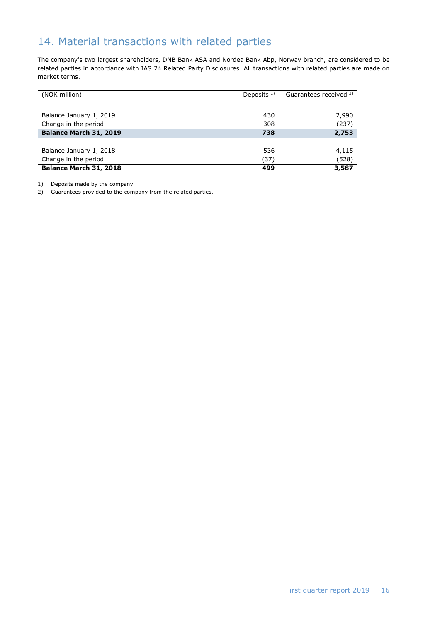# 14. Material transactions with related parties

The company's two largest shareholders, DNB Bank ASA and Nordea Bank Abp, Norway branch, are considered to be related parties in accordance with IAS 24 Related Party Disclosures. All transactions with related parties are made on market terms.

| (NOK million)           | Deposits $1$ ) | Guarantees received <sup>2)</sup> |
|-------------------------|----------------|-----------------------------------|
|                         |                |                                   |
| Balance January 1, 2019 | 430            | 2,990                             |
| Change in the period    | 308            | (237)                             |
| Balance March 31, 2019  | 738            | 2,753                             |
|                         |                |                                   |
| Balance January 1, 2018 | 536            | 4,115                             |
| Change in the period    | (37)           | (528)                             |
| Balance March 31, 2018  | 499            | 3,587                             |

1) Deposits made by the company.

2) Guarantees provided to the company from the related parties.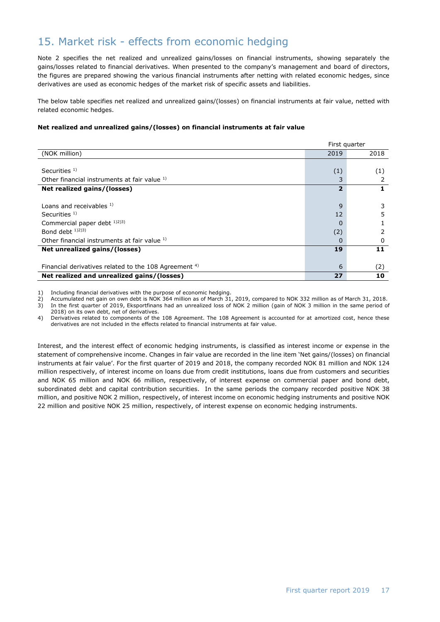## 15. Market risk - effects from economic hedging

Note 2 specifies the net realized and unrealized gains/losses on financial instruments, showing separately the gains/losses related to financial derivatives. When presented to the company's management and board of directors, the figures are prepared showing the various financial instruments after netting with related economic hedges, since derivatives are used as economic hedges of the market risk of specific assets and liabilities.

The below table specifies net realized and unrealized gains/(losses) on financial instruments at fair value, netted with related economic hedges.

#### **Net realized and unrealized gains/(losses) on financial instruments at fair value**

|                                                                  | First quarter  |      |
|------------------------------------------------------------------|----------------|------|
| (NOK million)                                                    | 2019           | 2018 |
|                                                                  |                |      |
| Securities $1$ )                                                 | (1)            | (1)  |
| Other financial instruments at fair value 1)                     | 3              |      |
| Net realized gains/(losses)                                      | $\overline{2}$ |      |
|                                                                  |                |      |
| Loans and receivables 1)                                         | 9              |      |
| Securities $1$ )                                                 | 12             |      |
| Commercial paper debt 1)2)3)                                     | $\Omega$       |      |
| Bond debt $1/2$ $(3)$                                            | (2)            |      |
| Other financial instruments at fair value 1)                     | 0              | 0    |
| Net unrealized gains/(losses)                                    | 19             | 11   |
|                                                                  |                |      |
| Financial derivatives related to the 108 Agreement <sup>4)</sup> | 6              | (2)  |
| Net realized and unrealized gains/(losses)                       | 27             | 10   |

1) Including financial derivatives with the purpose of economic hedging.

2) Accumulated net gain on own debt is NOK 364 million as of March 31, 2019, compared to NOK 332 million as of March 31, 2018.

3) In the first quarter of 2019, Eksportfinans had an unrealized loss of NOK 2 million (gain of NOK 3 million in the same period of 2018) on its own debt, net of derivatives.

4) Derivatives related to components of the 108 Agreement. The 108 Agreement is accounted for at amortized cost, hence these derivatives are not included in the effects related to financial instruments at fair value.

Interest, and the interest effect of economic hedging instruments, is classified as interest income or expense in the statement of comprehensive income. Changes in fair value are recorded in the line item 'Net gains/(losses) on financial instruments at fair value'. For the first quarter of 2019 and 2018, the company recorded NOK 81 million and NOK 124 million respectively, of interest income on loans due from credit institutions, loans due from customers and securities and NOK 65 million and NOK 66 million, respectively, of interest expense on commercial paper and bond debt, subordinated debt and capital contribution securities. In the same periods the company recorded positive NOK 38 million, and positive NOK 2 million, respectively, of interest income on economic hedging instruments and positive NOK 22 million and positive NOK 25 million, respectively, of interest expense on economic hedging instruments.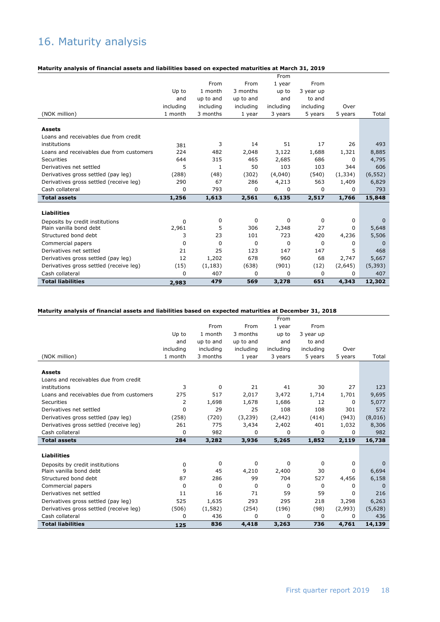# 16. Maturity analysis

#### **Maturity analysis of financial assets and liabilities based on expected maturities at March 31, 2019**

|                                          |           |              |             | From      |           |          |             |
|------------------------------------------|-----------|--------------|-------------|-----------|-----------|----------|-------------|
|                                          |           | From         | From        | 1 year    | From      |          |             |
|                                          | Up to     | 1 month      | 3 months    | up to     | 3 year up |          |             |
|                                          | and       | up to and    | up to and   | and       | to and    |          |             |
|                                          | including | including    | including   | including | including | Over     |             |
| (NOK million)                            | 1 month   | 3 months     | 1 year      | 3 years   | 5 years   | 5 years  | Total       |
|                                          |           |              |             |           |           |          |             |
| <b>Assets</b>                            |           |              |             |           |           |          |             |
| Loans and receivables due from credit    |           |              |             |           |           |          |             |
| institutions                             | 381       | 3            | 14          | 51        | 17        | 26       | 493         |
| Loans and receivables due from customers | 224       | 482          | 2,048       | 3,122     | 1,688     | 1,321    | 8,885       |
| Securities                               | 644       | 315          | 465         | 2,685     | 686       | 0        | 4,795       |
| Derivatives net settled                  | 5         | $\mathbf{1}$ | 50          | 103       | 103       | 344      | 606         |
| Derivatives gross settled (pay leg)      | (288)     | (48)         | (302)       | (4,040)   | (540)     | (1, 334) | (6, 552)    |
| Derivatives gross settled (receive leg)  | 290       | 67           | 286         | 4,213     | 563       | 1,409    | 6,829       |
| Cash collateral                          | 0         | 793          | $\Omega$    | 0         | $\Omega$  | 0        | 793         |
| <b>Total assets</b>                      | 1,256     | 1,613        | 2,561       | 6,135     | 2,517     | 1,766    | 15,848      |
|                                          |           |              |             |           |           |          |             |
| <b>Liabilities</b>                       |           |              |             |           |           |          |             |
| Deposits by credit institutions          | 0         | 0            | $\mathbf 0$ | 0         | 0         | 0        | $\mathbf 0$ |
| Plain vanilla bond debt                  | 2,961     | 5            | 306         | 2,348     | 27        | 0        | 5,648       |
| Structured bond debt                     | 3         | 23           | 101         | 723       | 420       | 4,236    | 5,506       |
| Commercial papers                        | 0         | $\Omega$     | 0           | 0         | 0         | 0        | 0           |
| Derivatives net settled                  | 21        | 25           | 123         | 147       | 147       | 5        | 468         |
| Derivatives gross settled (pay leg)      | 12        | 1,202        | 678         | 960       | 68        | 2,747    | 5,667       |
| Derivatives gross settled (receive leg)  | (15)      | (1, 183)     | (638)       | (901)     | (12)      | (2,645)  | (5, 393)    |
| Cash collateral                          | 0         | 407          | 0           | 0         | 0         | 0        | 407         |
| <b>Total liabilities</b>                 | 2,983     | 479          | 569         | 3,278     | 651       | 4,343    | 12,302      |

#### **Maturity analysis of financial assets and liabilities based on expected maturities at December 31, 2018**

|                                          |           |           |             | From        |           |         |          |
|------------------------------------------|-----------|-----------|-------------|-------------|-----------|---------|----------|
|                                          |           | From      | From        | 1 year      | From      |         |          |
|                                          | Up to     | 1 month   | 3 months    | up to       | 3 year up |         |          |
|                                          | and       | up to and | up to and   | and         | to and    |         |          |
|                                          | including | including | including   | including   | including | Over    |          |
| (NOK million)                            | 1 month   | 3 months  | 1 year      | 3 years     | 5 years   | 5 years | Total    |
|                                          |           |           |             |             |           |         |          |
| <b>Assets</b>                            |           |           |             |             |           |         |          |
| Loans and receivables due from credit    |           |           |             |             |           |         |          |
| institutions                             | 3         | 0         | 21          | 41          | 30        | 27      | 123      |
| Loans and receivables due from customers | 275       | 517       | 2,017       | 3,472       | 1,714     | 1,701   | 9,695    |
| Securities                               | 2         | 1,698     | 1,678       | 1,686       | 12        | 0       | 5,077    |
| Derivatives net settled                  | 0         | 29        | 25          | 108         | 108       | 301     | 572      |
| Derivatives gross settled (pay leg)      | (258)     | (720)     | (3,239)     | (2, 442)    | (414)     | (943)   | (8,016)  |
| Derivatives gross settled (receive leg)  | 261       | 775       | 3,434       | 2,402       | 401       | 1,032   | 8,306    |
| Cash collateral                          | 0         | 982       | $\Omega$    | 0           | 0         | 0       | 982      |
| <b>Total assets</b>                      | 284       | 3,282     | 3,936       | 5,265       | 1,852     | 2,119   | 16,738   |
|                                          |           |           |             |             |           |         |          |
| <b>Liabilities</b>                       |           |           |             |             |           |         |          |
| Deposits by credit institutions          | 0         | 0         | $\mathbf 0$ | $\mathbf 0$ | 0         | 0       | $\Omega$ |
| Plain vanilla bond debt                  | 9         | 45        | 4,210       | 2,400       | 30        | 0       | 6,694    |
| Structured bond debt                     | 87        | 286       | 99          | 704         | 527       | 4,456   | 6,158    |
| Commercial papers                        | 0         | $\Omega$  | 0           | $\mathbf 0$ | $\Omega$  | 0       | $\Omega$ |
| Derivatives net settled                  | 11        | 16        | 71          | 59          | 59        | 0       | 216      |
| Derivatives gross settled (pay leg)      | 525       | 1,635     | 293         | 295         | 218       | 3,298   | 6,263    |
| Derivatives gross settled (receive leg)  | (506)     | (1,582)   | (254)       | (196)       | (98)      | (2,993) | (5,628)  |
| Cash collateral                          | 0         | 436       | $\Omega$    | $\Omega$    | $\Omega$  | 0       | 436      |
| <b>Total liabilities</b>                 | 125       | 836       | 4,418       | 3,263       | 736       | 4,761   | 14,139   |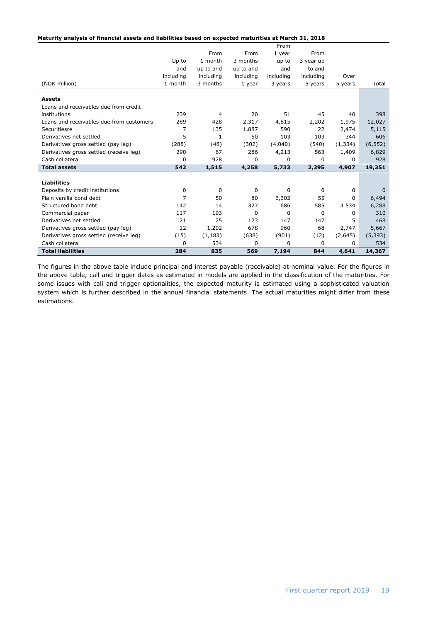|  | Maturity analysis of financial assets and liabilities based on expected maturities at March 31, 2018 |  |  |
|--|------------------------------------------------------------------------------------------------------|--|--|
|  |                                                                                                      |  |  |

|                                          |           |                |           | From      |             |              |             |
|------------------------------------------|-----------|----------------|-----------|-----------|-------------|--------------|-------------|
|                                          |           | From           | From      | 1 year    | From        |              |             |
|                                          | Up to     | 1 month        | 3 months  | up to     | 3 year up   |              |             |
|                                          | and       | up to and      | up to and | and       | to and      |              |             |
|                                          | including | including      | including | including | including   | Over         |             |
| (NOK million)                            | 1 month   | 3 months       | 1 year    | 3 years   | 5 years     | 5 years      | Total       |
|                                          |           |                |           |           |             |              |             |
| <b>Assets</b>                            |           |                |           |           |             |              |             |
| Loans and receivables due from credit    |           |                |           |           |             |              |             |
| institutions                             | 239       | $\overline{4}$ | 20        | 51        | 45          | 40           | 398         |
| Loans and receivables due from customers | 289       | 428            | 2,317     | 4,815     | 2,202       | 1,975        | 12,027      |
| Securitiesre                             | 7         | 135            | 1,887     | 590       | 22          | 2,474        | 5,115       |
| Derivatives net settled                  | 5         | 1              | 50        | 103       | 103         | 344          | 606         |
| Derivatives gross settled (pay leg)      | (288)     | (48)           | (302)     | (4,040)   | (540)       | (1, 334)     | (6, 552)    |
| Derivatives gross settled (receive leg)  | 290       | 67             | 286       | 4,213     | 563         | 1,409        | 6,829       |
| Cash collateral                          | 0         | 928            | 0         | 0         | $\Omega$    | <sup>0</sup> | 928         |
| <b>Total assets</b>                      | 542       | 1,515          | 4,258     | 5,733     | 2,395       | 4,907        | 19,351      |
|                                          |           |                |           |           |             |              |             |
| <b>Liabilities</b>                       |           |                |           |           |             |              |             |
| Deposits by credit institutions          | 0         | $\mathbf 0$    | 0         | 0         | 0           | 0            | $\mathbf 0$ |
| Plain vanilla bond debt                  | 7         | 50             | 80        | 6,302     | 55          | 0            | 6,494       |
| Structured bond debt                     | 142       | 14             | 327       | 686       | 585         | 4 5 3 4      | 6,288       |
| Commercial paper                         | 117       | 193            | 0         | $\Omega$  | $\mathbf 0$ | 0            | 310         |
| Derivatives net settled                  | 21        | 25             | 123       | 147       | 147         | 5.           | 468         |
| Derivatives gross settled (pay leg)      | 12        | 1,202          | 678       | 960       | 68          | 2,747        | 5,667       |
| Derivatives gross settled (receive leg)  | (15)      | (1, 183)       | (638)     | (901)     | (12)        | (2,645)      | (5, 393)    |
| Cash collateral                          | 0         | 534            | 0         | $\Omega$  | $\Omega$    | $\Omega$     | 534         |
| <b>Total liabilities</b>                 | 284       | 835            | 569       | 7,194     | 844         | 4,641        | 14,367      |

The figures in the above table include principal and interest payable (receivable) at nominal value. For the figures in the above table, call and trigger dates as estimated in models are applied in the classification of the maturities. For some issues with call and trigger optionalities, the expected maturity is estimated using a sophisticated valuation system which is further described in the annual financial statements. The actual maturities might differ from these estimations.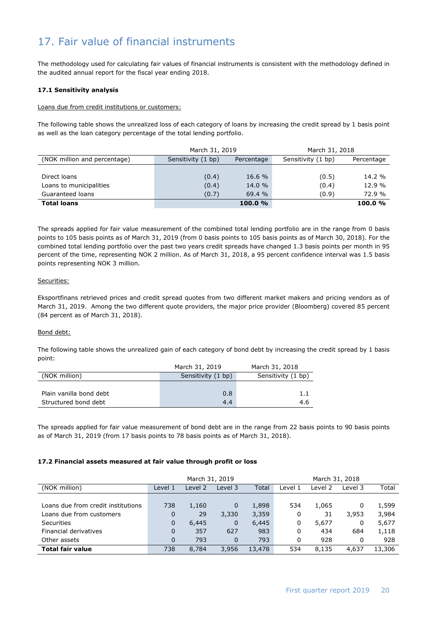# 17. Fair value of financial instruments

The methodology used for calculating fair values of financial instruments is consistent with the methodology defined in the audited annual report for the fiscal year ending 2018.

#### **17.1 Sensitivity analysis**

#### Loans due from credit institutions or customers:

The following table shows the unrealized loss of each category of loans by increasing the credit spread by 1 basis point as well as the loan category percentage of the total lending portfolio.

|                              | March 31, 2019     |            | March 31, 2018     |            |  |  |
|------------------------------|--------------------|------------|--------------------|------------|--|--|
| (NOK million and percentage) | Sensitivity (1 bp) | Percentage | Sensitivity (1 bp) | Percentage |  |  |
|                              |                    |            |                    |            |  |  |
| Direct loans                 | (0.4)              | 16.6 %     | (0.5)              | $14.2\%$   |  |  |
| Loans to municipalities      | (0.4)              | 14.0 %     | (0.4)              | 12.9 %     |  |  |
| Guaranteed loans             | (0.7)              | 69.4 %     | (0.9)              | 72.9 %     |  |  |
| <b>Total loans</b>           |                    | 100.0%     |                    | 100.0%     |  |  |

The spreads applied for fair value measurement of the combined total lending portfolio are in the range from 0 basis points to 105 basis points as of March 31, 2019 (from 0 basis points to 105 basis points as of March 30, 2018). For the combined total lending portfolio over the past two years credit spreads have changed 1.3 basis points per month in 95 percent of the time, representing NOK 2 million. As of March 31, 2018, a 95 percent confidence interval was 1.5 basis points representing NOK 3 million.

#### Securities:

Eksportfinans retrieved prices and credit spread quotes from two different market makers and pricing vendors as of March 31, 2019. Among the two different quote providers, the major price provider (Bloomberg) covered 85 percent (84 percent as of March 31, 2018).

#### Bond debt:

The following table shows the unrealized gain of each category of bond debt by increasing the credit spread by 1 basis point:

|                         | March 31, 2019     | March 31, 2018     |
|-------------------------|--------------------|--------------------|
| (NOK million)           | Sensitivity (1 bp) | Sensitivity (1 bp) |
|                         |                    |                    |
| Plain vanilla bond debt | 0.8                | 1.1                |
| Structured bond debt    | 4.4                | 4.6                |

The spreads applied for fair value measurement of bond debt are in the range from 22 basis points to 90 basis points as of March 31, 2019 (from 17 basis points to 78 basis points as of March 31, 2018).

#### **17.2 Financial assets measured at fair value through profit or loss**

|                                    |         | March 31, 2019<br>March 31, 2018 |          |        |         |         |         |        |
|------------------------------------|---------|----------------------------------|----------|--------|---------|---------|---------|--------|
| (NOK million)                      | Level 1 | Level 2                          | Level 3  | Total  | Level 1 | Level 2 | Level 3 | Total  |
|                                    |         |                                  |          |        |         |         |         |        |
| Loans due from credit institutions | 738     | 1,160                            | 0        | 1,898  | 534     | 1,065   | 0       | 1,599  |
| Loans due from customers           | 0       | 29                               | 3,330    | 3,359  | 0       | 31      | 3,953   | 3,984  |
| <b>Securities</b>                  | 0       | 6,445                            | 0        | 6,445  | 0       | 5,677   | 0       | 5,677  |
| Financial derivatives              | 0       | 357                              | 627      | 983    | 0       | 434     | 684     | 1,118  |
| Other assets                       | 0       | 793                              | $\Omega$ | 793    | 0       | 928     | 0       | 928    |
| <b>Total fair value</b>            | 738     | 8.784                            | 3,956    | 13,478 | 534     | 8.135   | 4.637   | 13,306 |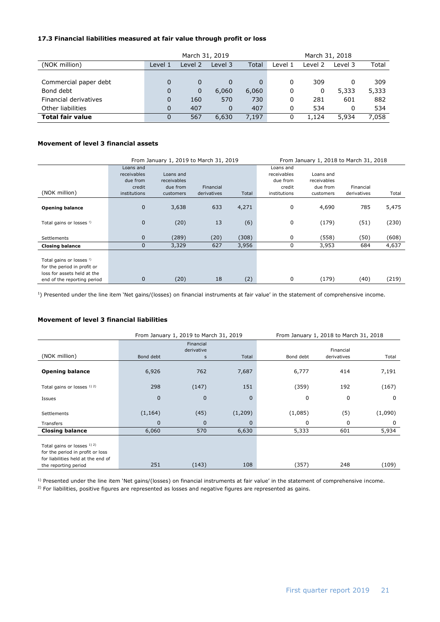#### **17.3 Financial liabilities measured at fair value through profit or loss**

|                         | March 31, 2019<br>March 31, 2018 |         |          |       |         |         |         |       |
|-------------------------|----------------------------------|---------|----------|-------|---------|---------|---------|-------|
| (NOK million)           | Level 1                          | Level 2 | Level 3  | Total | Level 1 | Level 2 | Level 3 | Total |
|                         |                                  |         |          |       |         |         |         |       |
| Commercial paper debt   |                                  | 0       | 0        |       | 0       | 309     |         | 309   |
| Bond debt               | 0                                | 0       | 6,060    | 6,060 | 0       | 0       | 5,333   | 5,333 |
| Financial derivatives   | 0                                | 160     | 570      | 730   | 0       | 281     | 601     | 882   |
| Other liabilities       | 0                                | 407     | $\Omega$ | 407   | 0       | 534     | 0       | 534   |
| <b>Total fair value</b> | 0                                | 567     | 6,630    | 7.197 | 0       | 1.124   | 5,934   | 7.058 |

#### **Movement of level 3 financial assets**

|                                                                                                                       |                                                                | From January 1, 2019 to March 31, 2019<br>From January 1, 2018 to March 31, 2018 |                          |       |                                                                |                                                   |                          |       |
|-----------------------------------------------------------------------------------------------------------------------|----------------------------------------------------------------|----------------------------------------------------------------------------------|--------------------------|-------|----------------------------------------------------------------|---------------------------------------------------|--------------------------|-------|
| (NOK million)                                                                                                         | Loans and<br>receivables<br>due from<br>credit<br>institutions | Loans and<br>receivables<br>due from<br>customers                                | Financial<br>derivatives | Total | Loans and<br>receivables<br>due from<br>credit<br>institutions | Loans and<br>receivables<br>due from<br>customers | Financial<br>derivatives | Total |
| <b>Opening balance</b>                                                                                                | $\mathbf{0}$                                                   | 3,638                                                                            | 633                      | 4,271 | 0                                                              | 4,690                                             | 785                      | 5,475 |
| Total gains or losses <sup>!)</sup>                                                                                   | $\mathbf{0}$                                                   | (20)                                                                             | 13                       | (6)   | 0                                                              | (179)                                             | (51)                     | (230) |
| Settlements                                                                                                           | $\mathbf{0}$                                                   | (289)                                                                            | (20)                     | (308) | 0                                                              | (558)                                             | (50)                     | (608) |
| <b>Closing balance</b>                                                                                                | 0                                                              | 3,329                                                                            | 627                      | 3,956 | 0                                                              | 3,953                                             | 684                      | 4,637 |
| Total gains or losses !)<br>for the period in profit or<br>loss for assets held at the<br>end of the reporting period | 0                                                              | (20)                                                                             | 18                       | (2)   | 0                                                              | (179)                                             | (40)                     | (219) |

<sup>1</sup>) Presented under the line item 'Net gains/(losses) on financial instruments at fair value' in the statement of comprehensive income.

#### **Movement of level 3 financial liabilities**

|                                                                                                                               |              | From January 1, 2019 to March 31, 2019 |          |             | From January 1, 2018 to March 31, 2018 |         |
|-------------------------------------------------------------------------------------------------------------------------------|--------------|----------------------------------------|----------|-------------|----------------------------------------|---------|
| (NOK million)                                                                                                                 | Bond debt    | Financial<br>derivative<br>s           | Total    | Bond debt   | Financial<br>derivatives               | Total   |
|                                                                                                                               |              |                                        |          |             |                                        |         |
| <b>Opening balance</b>                                                                                                        | 6,926        | 762                                    | 7,687    | 6,777       | 414                                    | 7,191   |
| Total gains or losses 1) 2)                                                                                                   | 298          | (147)                                  | 151      | (359)       | 192                                    | (167)   |
| Issues                                                                                                                        | $\mathbf{0}$ | $\mathbf 0$                            | $\Omega$ | $\mathbf 0$ | 0                                      | 0       |
| Settlements                                                                                                                   | (1, 164)     | (45)                                   | (1,209)  | (1,085)     | (5)                                    | (1,090) |
| Transfers                                                                                                                     | $\mathbf 0$  | 0                                      | 0        | 0           | 0                                      | 0       |
| <b>Closing balance</b>                                                                                                        | 6,060        | 570                                    | 6,630    | 5,333       | 601                                    | 5,934   |
| Total gains or losses 1) 2)<br>for the period in profit or loss<br>for liabilities held at the end of<br>the reporting period | 251          | (143)                                  | 108      | (357)       | 248                                    | (109)   |

<sup>1)</sup> Presented under the line item 'Net gains/(losses) on financial instruments at fair value' in the statement of comprehensive income.

 $2)$  For liabilities, positive figures are represented as losses and negative figures are represented as gains.